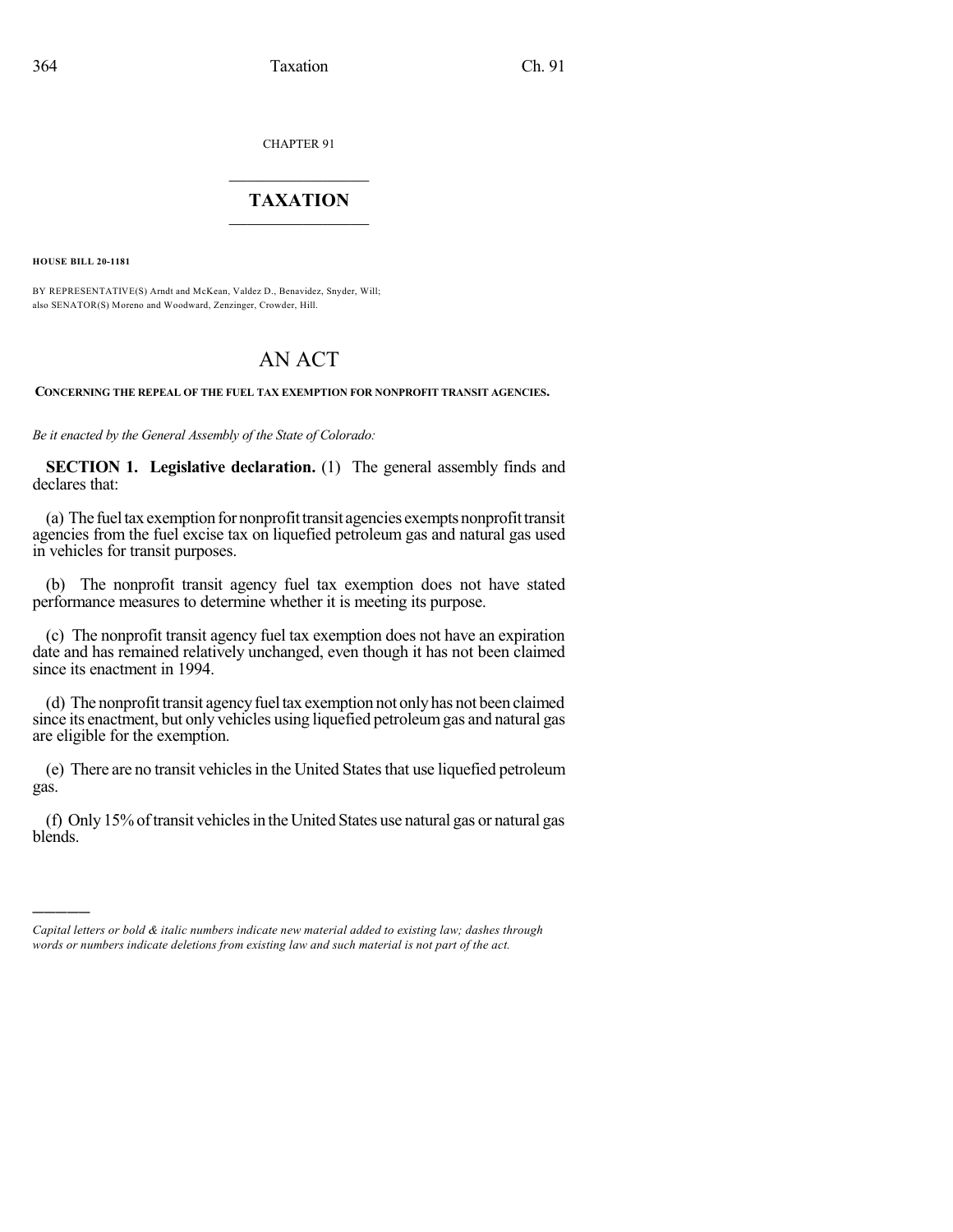CHAPTER 91

## $\mathcal{L}_\text{max}$  . The set of the set of the set of the set of the set of the set of the set of the set of the set of the set of the set of the set of the set of the set of the set of the set of the set of the set of the set **TAXATION**  $\_$

**HOUSE BILL 20-1181**

)))))

BY REPRESENTATIVE(S) Arndt and McKean, Valdez D., Benavidez, Snyder, Will; also SENATOR(S) Moreno and Woodward, Zenzinger, Crowder, Hill.

## AN ACT

## **CONCERNING THE REPEAL OF THE FUEL TAX EXEMPTION FOR NONPROFIT TRANSIT AGENCIES.**

*Be it enacted by the General Assembly of the State of Colorado:*

**SECTION 1. Legislative declaration.** (1) The general assembly finds and declares that:

(a) The fuel tax exemption for nonprofit transit agencies exempts nonprofit transit agencies from the fuel excise tax on liquefied petroleum gas and natural gas used in vehicles for transit purposes.

(b) The nonprofit transit agency fuel tax exemption does not have stated performance measures to determine whether it is meeting its purpose.

(c) The nonprofit transit agency fuel tax exemption does not have an expiration date and has remained relatively unchanged, even though it has not been claimed since its enactment in 1994.

(d) The nonprofit transit agency fuel tax exemption not only has not been claimed since its enactment, but only vehicles using liquefied petroleumgas and natural gas are eligible for the exemption.

(e) There are no transit vehiclesin the United Statesthat use liquefied petroleum gas.

(f) Only 15% of transit vehicles in the United States use natural gas or natural gas blends.

*Capital letters or bold & italic numbers indicate new material added to existing law; dashes through words or numbers indicate deletions from existing law and such material is not part of the act.*